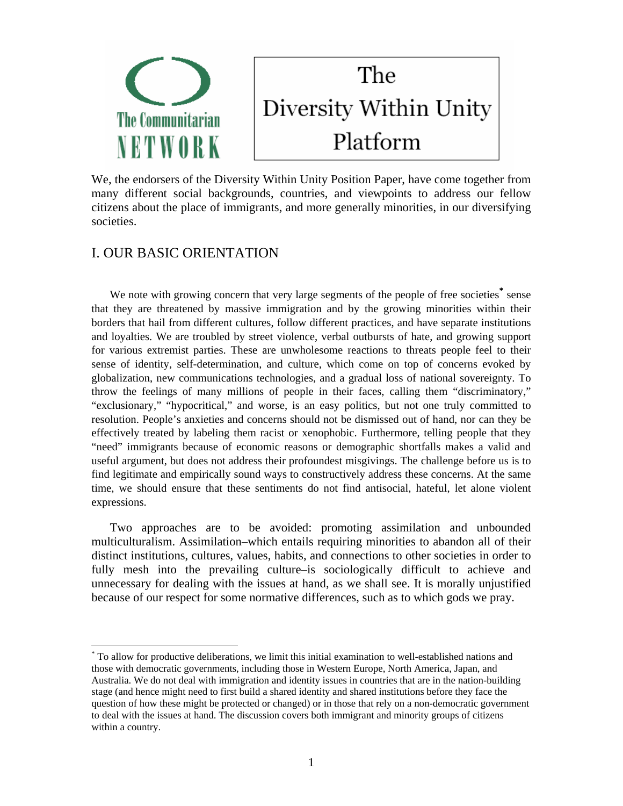

# The Diversity Within Unity Platform

We, the endorsers of the Diversity Within Unity Position Paper, have come together from many different social backgrounds, countries, and viewpoints to address our fellow citizens about the place of immigrants, and more generally minorities, in our diversifying societies.

## I. OUR BASIC ORIENTATION

 $\overline{a}$ 

We note with growing concern that very large segments of the people of free societies<sup>\*</sup> sense that they are threatened by massive immigration and by the growing minorities within their borders that hail from different cultures, follow different practices, and have separate institutions and loyalties. We are troubled by street violence, verbal outbursts of hate, and growing support for various extremist parties. These are unwholesome reactions to threats people feel to their sense of identity, self-determination, and culture, which come on top of concerns evoked by globalization, new communications technologies, and a gradual loss of national sovereignty. To throw the feelings of many millions of people in their faces, calling them "discriminatory," "exclusionary," "hypocritical," and worse, is an easy politics, but not one truly committed to resolution. People's anxieties and concerns should not be dismissed out of hand, nor can they be effectively treated by labeling them racist or xenophobic. Furthermore, telling people that they "need" immigrants because of economic reasons or demographic shortfalls makes a valid and useful argument, but does not address their profoundest misgivings. The challenge before us is to find legitimate and empirically sound ways to constructively address these concerns. At the same time, we should ensure that these sentiments do not find antisocial, hateful, let alone violent expressions.

Two approaches are to be avoided: promoting assimilation and unbounded multiculturalism. Assimilation–which entails requiring minorities to abandon all of their distinct institutions, cultures, values, habits, and connections to other societies in order to fully mesh into the prevailing culture–is sociologically difficult to achieve and unnecessary for dealing with the issues at hand, as we shall see. It is morally unjustified because of our respect for some normative differences, such as to which gods we pray.

<sup>\*</sup> To allow for productive deliberations, we limit this initial examination to well-established nations and those with democratic governments, including those in Western Europe, North America, Japan, and Australia. We do not deal with immigration and identity issues in countries that are in the nation-building stage (and hence might need to first build a shared identity and shared institutions before they face the question of how these might be protected or changed) or in those that rely on a non-democratic government to deal with the issues at hand. The discussion covers both immigrant and minority groups of citizens within a country.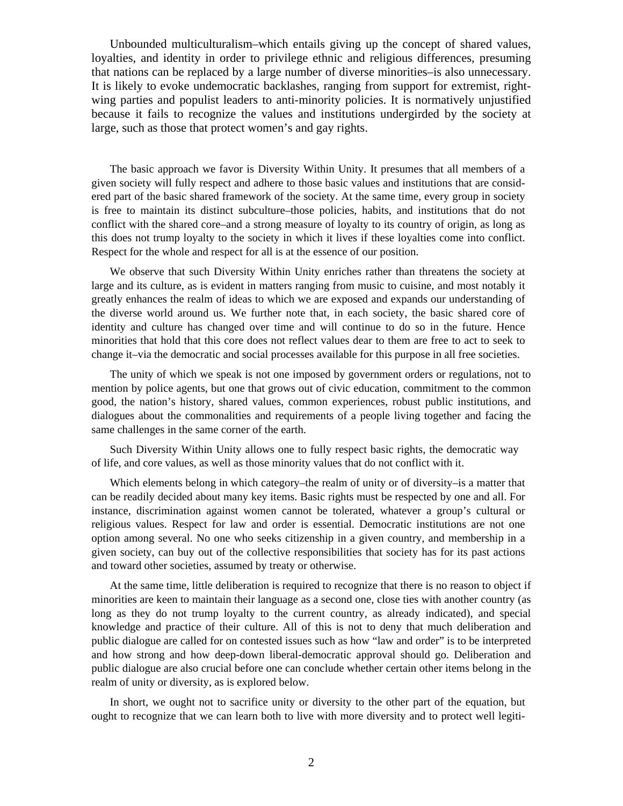Unbounded multiculturalism–which entails giving up the concept of shared values, loyalties, and identity in order to privilege ethnic and religious differences, presuming that nations can be replaced by a large number of diverse minorities–is also unnecessary. It is likely to evoke undemocratic backlashes, ranging from support for extremist, rightwing parties and populist leaders to anti-minority policies. It is normatively unjustified because it fails to recognize the values and institutions undergirded by the society at large, such as those that protect women's and gay rights.

The basic approach we favor is Diversity Within Unity. It presumes that all members of a given society will fully respect and adhere to those basic values and institutions that are considered part of the basic shared framework of the society. At the same time, every group in society is free to maintain its distinct subculture–those policies, habits, and institutions that do not conflict with the shared core–and a strong measure of loyalty to its country of origin, as long as this does not trump loyalty to the society in which it lives if these loyalties come into conflict. Respect for the whole and respect for all is at the essence of our position.

We observe that such Diversity Within Unity enriches rather than threatens the society at large and its culture, as is evident in matters ranging from music to cuisine, and most notably it greatly enhances the realm of ideas to which we are exposed and expands our understanding of the diverse world around us. We further note that, in each society, the basic shared core of identity and culture has changed over time and will continue to do so in the future. Hence minorities that hold that this core does not reflect values dear to them are free to act to seek to change it–via the democratic and social processes available for this purpose in all free societies.

The unity of which we speak is not one imposed by government orders or regulations, not to mention by police agents, but one that grows out of civic education, commitment to the common good, the nation's history, shared values, common experiences, robust public institutions, and dialogues about the commonalities and requirements of a people living together and facing the same challenges in the same corner of the earth.

Such Diversity Within Unity allows one to fully respect basic rights, the democratic way of life, and core values, as well as those minority values that do not conflict with it.

Which elements belong in which category–the realm of unity or of diversity–is a matter that can be readily decided about many key items. Basic rights must be respected by one and all. For instance, discrimination against women cannot be tolerated, whatever a group's cultural or religious values. Respect for law and order is essential. Democratic institutions are not one option among several. No one who seeks citizenship in a given country, and membership in a given society, can buy out of the collective responsibilities that society has for its past actions and toward other societies, assumed by treaty or otherwise.

At the same time, little deliberation is required to recognize that there is no reason to object if minorities are keen to maintain their language as a second one, close ties with another country (as long as they do not trump loyalty to the current country, as already indicated), and special knowledge and practice of their culture. All of this is not to deny that much deliberation and public dialogue are called for on contested issues such as how "law and order" is to be interpreted and how strong and how deep-down liberal-democratic approval should go. Deliberation and public dialogue are also crucial before one can conclude whether certain other items belong in the realm of unity or diversity, as is explored below.

In short, we ought not to sacrifice unity or diversity to the other part of the equation, but ought to recognize that we can learn both to live with more diversity and to protect well legiti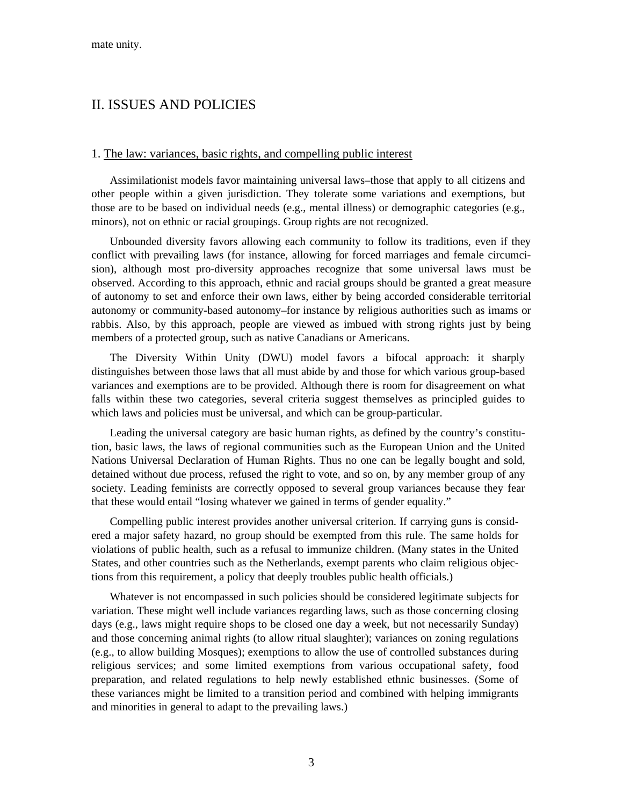mate unity.

### II. ISSUES AND POLICIES

#### 1. The law: variances, basic rights, and compelling public interest

Assimilationist models favor maintaining universal laws–those that apply to all citizens and other people within a given jurisdiction. They tolerate some variations and exemptions, but those are to be based on individual needs (e.g., mental illness) or demographic categories (e.g., minors), not on ethnic or racial groupings. Group rights are not recognized.

Unbounded diversity favors allowing each community to follow its traditions, even if they conflict with prevailing laws (for instance, allowing for forced marriages and female circumcision), although most pro-diversity approaches recognize that some universal laws must be observed. According to this approach, ethnic and racial groups should be granted a great measure of autonomy to set and enforce their own laws, either by being accorded considerable territorial autonomy or community-based autonomy–for instance by religious authorities such as imams or rabbis. Also, by this approach, people are viewed as imbued with strong rights just by being members of a protected group, such as native Canadians or Americans.

The Diversity Within Unity (DWU) model favors a bifocal approach: it sharply distinguishes between those laws that all must abide by and those for which various group-based variances and exemptions are to be provided. Although there is room for disagreement on what falls within these two categories, several criteria suggest themselves as principled guides to which laws and policies must be universal, and which can be group-particular.

Leading the universal category are basic human rights, as defined by the country's constitution, basic laws, the laws of regional communities such as the European Union and the United Nations Universal Declaration of Human Rights. Thus no one can be legally bought and sold, detained without due process, refused the right to vote, and so on, by any member group of any society. Leading feminists are correctly opposed to several group variances because they fear that these would entail "losing whatever we gained in terms of gender equality."

Compelling public interest provides another universal criterion. If carrying guns is considered a major safety hazard, no group should be exempted from this rule. The same holds for violations of public health, such as a refusal to immunize children. (Many states in the United States, and other countries such as the Netherlands, exempt parents who claim religious objections from this requirement, a policy that deeply troubles public health officials.)

Whatever is not encompassed in such policies should be considered legitimate subjects for variation. These might well include variances regarding laws, such as those concerning closing days (e.g., laws might require shops to be closed one day a week, but not necessarily Sunday) and those concerning animal rights (to allow ritual slaughter); variances on zoning regulations (e.g., to allow building Mosques); exemptions to allow the use of controlled substances during religious services; and some limited exemptions from various occupational safety, food preparation, and related regulations to help newly established ethnic businesses. (Some of these variances might be limited to a transition period and combined with helping immigrants and minorities in general to adapt to the prevailing laws.)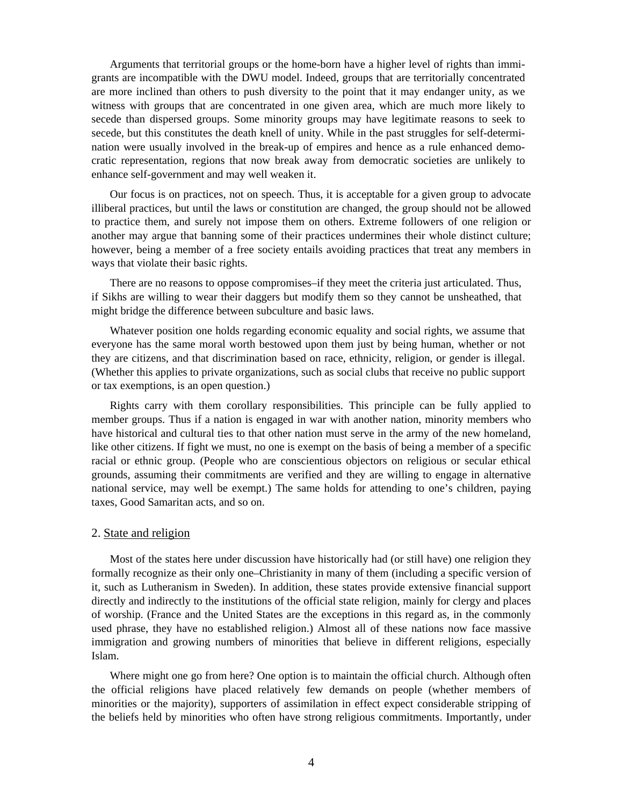Arguments that territorial groups or the home-born have a higher level of rights than immigrants are incompatible with the DWU model. Indeed, groups that are territorially concentrated are more inclined than others to push diversity to the point that it may endanger unity, as we witness with groups that are concentrated in one given area, which are much more likely to secede than dispersed groups. Some minority groups may have legitimate reasons to seek to secede, but this constitutes the death knell of unity. While in the past struggles for self-determination were usually involved in the break-up of empires and hence as a rule enhanced democratic representation, regions that now break away from democratic societies are unlikely to enhance self-government and may well weaken it.

Our focus is on practices, not on speech. Thus, it is acceptable for a given group to advocate illiberal practices, but until the laws or constitution are changed, the group should not be allowed to practice them, and surely not impose them on others. Extreme followers of one religion or another may argue that banning some of their practices undermines their whole distinct culture; however, being a member of a free society entails avoiding practices that treat any members in ways that violate their basic rights.

There are no reasons to oppose compromises–if they meet the criteria just articulated. Thus, if Sikhs are willing to wear their daggers but modify them so they cannot be unsheathed, that might bridge the difference between subculture and basic laws.

Whatever position one holds regarding economic equality and social rights, we assume that everyone has the same moral worth bestowed upon them just by being human, whether or not they are citizens, and that discrimination based on race, ethnicity, religion, or gender is illegal. (Whether this applies to private organizations, such as social clubs that receive no public support or tax exemptions, is an open question.)

Rights carry with them corollary responsibilities. This principle can be fully applied to member groups. Thus if a nation is engaged in war with another nation, minority members who have historical and cultural ties to that other nation must serve in the army of the new homeland, like other citizens. If fight we must, no one is exempt on the basis of being a member of a specific racial or ethnic group. (People who are conscientious objectors on religious or secular ethical grounds, assuming their commitments are verified and they are willing to engage in alternative national service, may well be exempt.) The same holds for attending to one's children, paying taxes, Good Samaritan acts, and so on.

#### 2. State and religion

Most of the states here under discussion have historically had (or still have) one religion they formally recognize as their only one–Christianity in many of them (including a specific version of it, such as Lutheranism in Sweden). In addition, these states provide extensive financial support directly and indirectly to the institutions of the official state religion, mainly for clergy and places of worship. (France and the United States are the exceptions in this regard as, in the commonly used phrase, they have no established religion.) Almost all of these nations now face massive immigration and growing numbers of minorities that believe in different religions, especially Islam.

Where might one go from here? One option is to maintain the official church. Although often the official religions have placed relatively few demands on people (whether members of minorities or the majority), supporters of assimilation in effect expect considerable stripping of the beliefs held by minorities who often have strong religious commitments. Importantly, under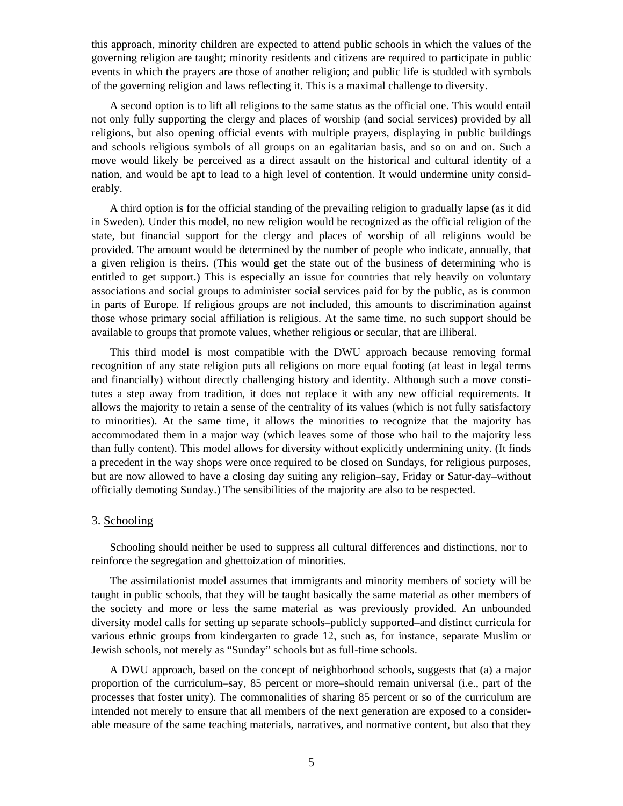this approach, minority children are expected to attend public schools in which the values of the governing religion are taught; minority residents and citizens are required to participate in public events in which the prayers are those of another religion; and public life is studded with symbols of the governing religion and laws reflecting it. This is a maximal challenge to diversity.

A second option is to lift all religions to the same status as the official one. This would entail not only fully supporting the clergy and places of worship (and social services) provided by all religions, but also opening official events with multiple prayers, displaying in public buildings and schools religious symbols of all groups on an egalitarian basis, and so on and on. Such a move would likely be perceived as a direct assault on the historical and cultural identity of a nation, and would be apt to lead to a high level of contention. It would undermine unity considerably.

A third option is for the official standing of the prevailing religion to gradually lapse (as it did in Sweden). Under this model, no new religion would be recognized as the official religion of the state, but financial support for the clergy and places of worship of all religions would be provided. The amount would be determined by the number of people who indicate, annually, that a given religion is theirs. (This would get the state out of the business of determining who is entitled to get support.) This is especially an issue for countries that rely heavily on voluntary associations and social groups to administer social services paid for by the public, as is common in parts of Europe. If religious groups are not included, this amounts to discrimination against those whose primary social affiliation is religious. At the same time, no such support should be available to groups that promote values, whether religious or secular, that are illiberal.

This third model is most compatible with the DWU approach because removing formal recognition of any state religion puts all religions on more equal footing (at least in legal terms and financially) without directly challenging history and identity. Although such a move constitutes a step away from tradition, it does not replace it with any new official requirements. It allows the majority to retain a sense of the centrality of its values (which is not fully satisfactory to minorities). At the same time, it allows the minorities to recognize that the majority has accommodated them in a major way (which leaves some of those who hail to the majority less than fully content). This model allows for diversity without explicitly undermining unity. (It finds a precedent in the way shops were once required to be closed on Sundays, for religious purposes, but are now allowed to have a closing day suiting any religion–say, Friday or Satur-day–without officially demoting Sunday.) The sensibilities of the majority are also to be respected.

#### 3. Schooling

Schooling should neither be used to suppress all cultural differences and distinctions, nor to reinforce the segregation and ghettoization of minorities.

The assimilationist model assumes that immigrants and minority members of society will be taught in public schools, that they will be taught basically the same material as other members of the society and more or less the same material as was previously provided. An unbounded diversity model calls for setting up separate schools–publicly supported–and distinct curricula for various ethnic groups from kindergarten to grade 12, such as, for instance, separate Muslim or Jewish schools, not merely as "Sunday" schools but as full-time schools.

A DWU approach, based on the concept of neighborhood schools, suggests that (a) a major proportion of the curriculum–say, 85 percent or more–should remain universal (i.e., part of the processes that foster unity). The commonalities of sharing 85 percent or so of the curriculum are intended not merely to ensure that all members of the next generation are exposed to a considerable measure of the same teaching materials, narratives, and normative content, but also that they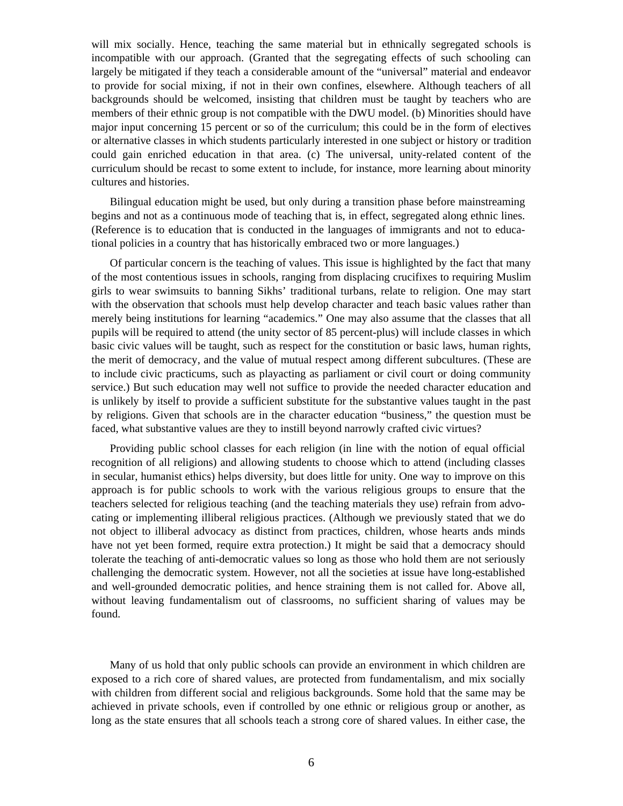will mix socially. Hence, teaching the same material but in ethnically segregated schools is incompatible with our approach. (Granted that the segregating effects of such schooling can largely be mitigated if they teach a considerable amount of the "universal" material and endeavor to provide for social mixing, if not in their own confines, elsewhere. Although teachers of all backgrounds should be welcomed, insisting that children must be taught by teachers who are members of their ethnic group is not compatible with the DWU model. (b) Minorities should have major input concerning 15 percent or so of the curriculum; this could be in the form of electives or alternative classes in which students particularly interested in one subject or history or tradition could gain enriched education in that area. (c) The universal, unity-related content of the curriculum should be recast to some extent to include, for instance, more learning about minority cultures and histories.

Bilingual education might be used, but only during a transition phase before mainstreaming begins and not as a continuous mode of teaching that is, in effect, segregated along ethnic lines. (Reference is to education that is conducted in the languages of immigrants and not to educational policies in a country that has historically embraced two or more languages.)

Of particular concern is the teaching of values. This issue is highlighted by the fact that many of the most contentious issues in schools, ranging from displacing crucifixes to requiring Muslim girls to wear swimsuits to banning Sikhs' traditional turbans, relate to religion. One may start with the observation that schools must help develop character and teach basic values rather than merely being institutions for learning "academics." One may also assume that the classes that all pupils will be required to attend (the unity sector of 85 percent-plus) will include classes in which basic civic values will be taught, such as respect for the constitution or basic laws, human rights, the merit of democracy, and the value of mutual respect among different subcultures. (These are to include civic practicums, such as playacting as parliament or civil court or doing community service.) But such education may well not suffice to provide the needed character education and is unlikely by itself to provide a sufficient substitute for the substantive values taught in the past by religions. Given that schools are in the character education "business," the question must be faced, what substantive values are they to instill beyond narrowly crafted civic virtues?

Providing public school classes for each religion (in line with the notion of equal official recognition of all religions) and allowing students to choose which to attend (including classes in secular, humanist ethics) helps diversity, but does little for unity. One way to improve on this approach is for public schools to work with the various religious groups to ensure that the teachers selected for religious teaching (and the teaching materials they use) refrain from advocating or implementing illiberal religious practices. (Although we previously stated that we do not object to illiberal advocacy as distinct from practices, children, whose hearts ands minds have not yet been formed, require extra protection.) It might be said that a democracy should tolerate the teaching of anti-democratic values so long as those who hold them are not seriously challenging the democratic system. However, not all the societies at issue have long-established and well-grounded democratic polities, and hence straining them is not called for. Above all, without leaving fundamentalism out of classrooms, no sufficient sharing of values may be found.

Many of us hold that only public schools can provide an environment in which children are exposed to a rich core of shared values, are protected from fundamentalism, and mix socially with children from different social and religious backgrounds. Some hold that the same may be achieved in private schools, even if controlled by one ethnic or religious group or another, as long as the state ensures that all schools teach a strong core of shared values. In either case, the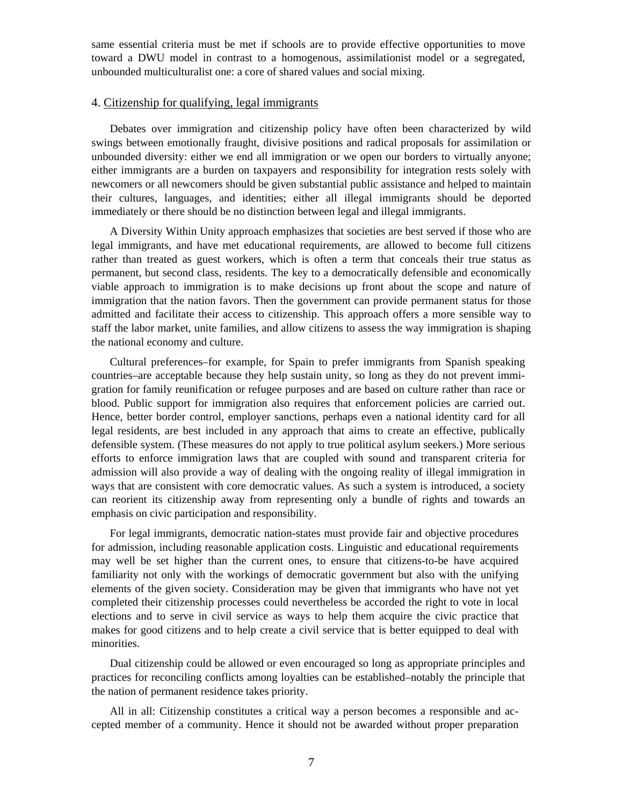same essential criteria must be met if schools are to provide effective opportunities to move toward a DWU model in contrast to a homogenous, assimilationist model or a segregated, unbounded multiculturalist one: a core of shared values and social mixing.

#### 4. Citizenship for qualifying, legal immigrants

Debates over immigration and citizenship policy have often been characterized by wild swings between emotionally fraught, divisive positions and radical proposals for assimilation or unbounded diversity: either we end all immigration or we open our borders to virtually anyone; either immigrants are a burden on taxpayers and responsibility for integration rests solely with newcomers or all newcomers should be given substantial public assistance and helped to maintain their cultures, languages, and identities; either all illegal immigrants should be deported immediately or there should be no distinction between legal and illegal immigrants.

A Diversity Within Unity approach emphasizes that societies are best served if those who are legal immigrants, and have met educational requirements, are allowed to become full citizens rather than treated as guest workers, which is often a term that conceals their true status as permanent, but second class, residents. The key to a democratically defensible and economically viable approach to immigration is to make decisions up front about the scope and nature of immigration that the nation favors. Then the government can provide permanent status for those admitted and facilitate their access to citizenship. This approach offers a more sensible way to staff the labor market, unite families, and allow citizens to assess the way immigration is shaping the national economy and culture.

Cultural preferences–for example, for Spain to prefer immigrants from Spanish speaking countries–are acceptable because they help sustain unity, so long as they do not prevent immigration for family reunification or refugee purposes and are based on culture rather than race or blood. Public support for immigration also requires that enforcement policies are carried out. Hence, better border control, employer sanctions, perhaps even a national identity card for all legal residents, are best included in any approach that aims to create an effective, publically defensible system. (These measures do not apply to true political asylum seekers.) More serious efforts to enforce immigration laws that are coupled with sound and transparent criteria for admission will also provide a way of dealing with the ongoing reality of illegal immigration in ways that are consistent with core democratic values. As such a system is introduced, a society can reorient its citizenship away from representing only a bundle of rights and towards an emphasis on civic participation and responsibility.

For legal immigrants, democratic nation-states must provide fair and objective procedures for admission, including reasonable application costs. Linguistic and educational requirements may well be set higher than the current ones, to ensure that citizens-to-be have acquired familiarity not only with the workings of democratic government but also with the unifying elements of the given society. Consideration may be given that immigrants who have not yet completed their citizenship processes could nevertheless be accorded the right to vote in local elections and to serve in civil service as ways to help them acquire the civic practice that makes for good citizens and to help create a civil service that is better equipped to deal with minorities.

Dual citizenship could be allowed or even encouraged so long as appropriate principles and practices for reconciling conflicts among loyalties can be established–notably the principle that the nation of permanent residence takes priority.

All in all: Citizenship constitutes a critical way a person becomes a responsible and accepted member of a community. Hence it should not be awarded without proper preparation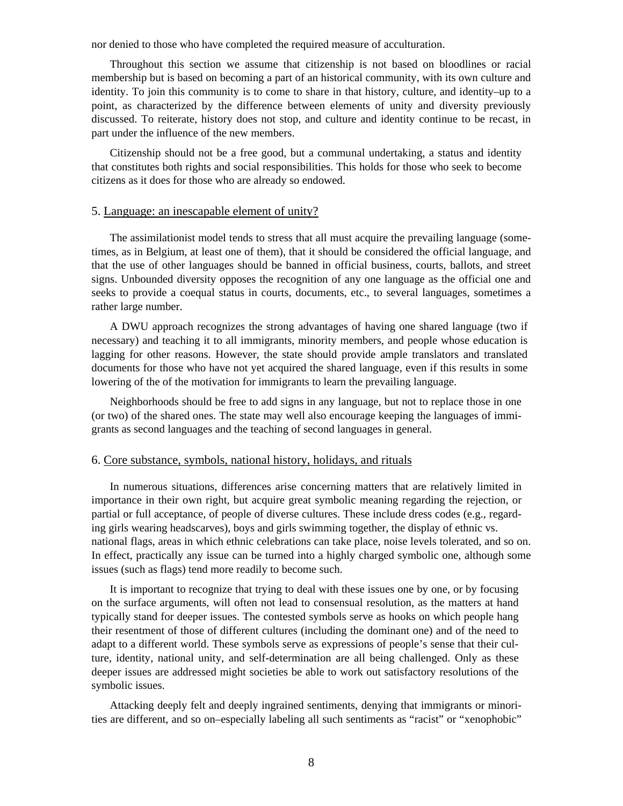nor denied to those who have completed the required measure of acculturation.

Throughout this section we assume that citizenship is not based on bloodlines or racial membership but is based on becoming a part of an historical community, with its own culture and identity. To join this community is to come to share in that history, culture, and identity–up to a point, as characterized by the difference between elements of unity and diversity previously discussed. To reiterate, history does not stop, and culture and identity continue to be recast, in part under the influence of the new members.

Citizenship should not be a free good, but a communal undertaking, a status and identity that constitutes both rights and social responsibilities. This holds for those who seek to become citizens as it does for those who are already so endowed.

#### 5. Language: an inescapable element of unity?

The assimilationist model tends to stress that all must acquire the prevailing language (sometimes, as in Belgium, at least one of them), that it should be considered the official language, and that the use of other languages should be banned in official business, courts, ballots, and street signs. Unbounded diversity opposes the recognition of any one language as the official one and seeks to provide a coequal status in courts, documents, etc., to several languages, sometimes a rather large number.

A DWU approach recognizes the strong advantages of having one shared language (two if necessary) and teaching it to all immigrants, minority members, and people whose education is lagging for other reasons. However, the state should provide ample translators and translated documents for those who have not yet acquired the shared language, even if this results in some lowering of the of the motivation for immigrants to learn the prevailing language.

Neighborhoods should be free to add signs in any language, but not to replace those in one (or two) of the shared ones. The state may well also encourage keeping the languages of immigrants as second languages and the teaching of second languages in general.

#### 6. Core substance, symbols, national history, holidays, and rituals

In numerous situations, differences arise concerning matters that are relatively limited in importance in their own right, but acquire great symbolic meaning regarding the rejection, or partial or full acceptance, of people of diverse cultures. These include dress codes (e.g., regarding girls wearing headscarves), boys and girls swimming together, the display of ethnic vs. national flags, areas in which ethnic celebrations can take place, noise levels tolerated, and so on. In effect, practically any issue can be turned into a highly charged symbolic one, although some issues (such as flags) tend more readily to become such.

It is important to recognize that trying to deal with these issues one by one, or by focusing on the surface arguments, will often not lead to consensual resolution, as the matters at hand typically stand for deeper issues. The contested symbols serve as hooks on which people hang their resentment of those of different cultures (including the dominant one) and of the need to adapt to a different world. These symbols serve as expressions of people's sense that their culture, identity, national unity, and self-determination are all being challenged. Only as these deeper issues are addressed might societies be able to work out satisfactory resolutions of the symbolic issues.

Attacking deeply felt and deeply ingrained sentiments, denying that immigrants or minorities are different, and so on–especially labeling all such sentiments as "racist" or "xenophobic"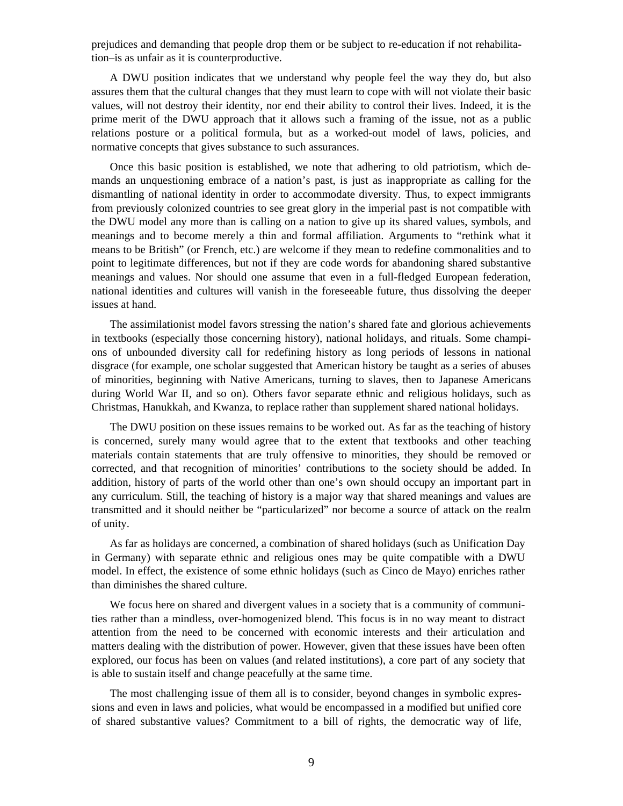prejudices and demanding that people drop them or be subject to re-education if not rehabilitation–is as unfair as it is counterproductive.

A DWU position indicates that we understand why people feel the way they do, but also assures them that the cultural changes that they must learn to cope with will not violate their basic values, will not destroy their identity, nor end their ability to control their lives. Indeed, it is the prime merit of the DWU approach that it allows such a framing of the issue, not as a public relations posture or a political formula, but as a worked-out model of laws, policies, and normative concepts that gives substance to such assurances.

Once this basic position is established, we note that adhering to old patriotism, which demands an unquestioning embrace of a nation's past, is just as inappropriate as calling for the dismantling of national identity in order to accommodate diversity. Thus, to expect immigrants from previously colonized countries to see great glory in the imperial past is not compatible with the DWU model any more than is calling on a nation to give up its shared values, symbols, and meanings and to become merely a thin and formal affiliation. Arguments to "rethink what it means to be British" (or French, etc.) are welcome if they mean to redefine commonalities and to point to legitimate differences, but not if they are code words for abandoning shared substantive meanings and values. Nor should one assume that even in a full-fledged European federation, national identities and cultures will vanish in the foreseeable future, thus dissolving the deeper issues at hand.

The assimilationist model favors stressing the nation's shared fate and glorious achievements in textbooks (especially those concerning history), national holidays, and rituals. Some champions of unbounded diversity call for redefining history as long periods of lessons in national disgrace (for example, one scholar suggested that American history be taught as a series of abuses of minorities, beginning with Native Americans, turning to slaves, then to Japanese Americans during World War II, and so on). Others favor separate ethnic and religious holidays, such as Christmas, Hanukkah, and Kwanza, to replace rather than supplement shared national holidays.

The DWU position on these issues remains to be worked out. As far as the teaching of history is concerned, surely many would agree that to the extent that textbooks and other teaching materials contain statements that are truly offensive to minorities, they should be removed or corrected, and that recognition of minorities' contributions to the society should be added. In addition, history of parts of the world other than one's own should occupy an important part in any curriculum. Still, the teaching of history is a major way that shared meanings and values are transmitted and it should neither be "particularized" nor become a source of attack on the realm of unity.

As far as holidays are concerned, a combination of shared holidays (such as Unification Day in Germany) with separate ethnic and religious ones may be quite compatible with a DWU model. In effect, the existence of some ethnic holidays (such as Cinco de Mayo) enriches rather than diminishes the shared culture.

We focus here on shared and divergent values in a society that is a community of communities rather than a mindless, over-homogenized blend. This focus is in no way meant to distract attention from the need to be concerned with economic interests and their articulation and matters dealing with the distribution of power. However, given that these issues have been often explored, our focus has been on values (and related institutions), a core part of any society that is able to sustain itself and change peacefully at the same time.

The most challenging issue of them all is to consider, beyond changes in symbolic expressions and even in laws and policies, what would be encompassed in a modified but unified core of shared substantive values? Commitment to a bill of rights, the democratic way of life,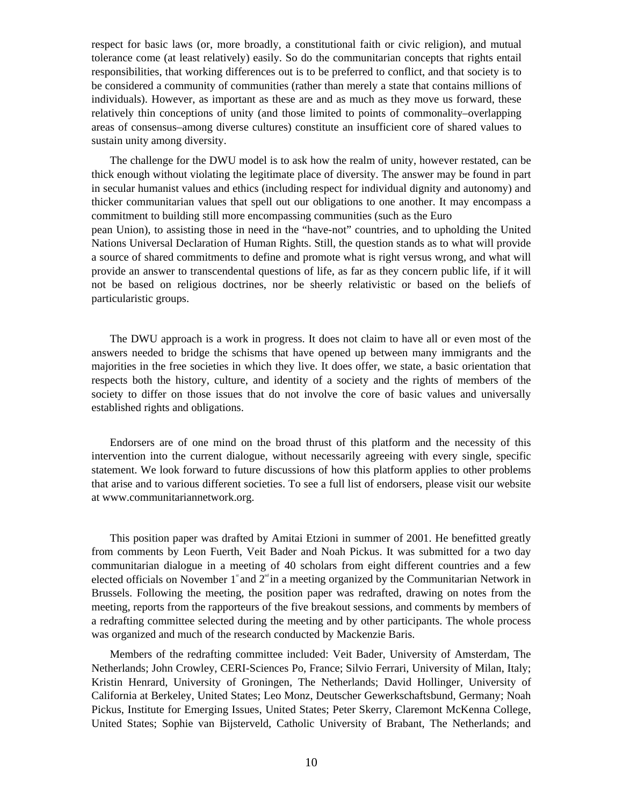respect for basic laws (or, more broadly, a constitutional faith or civic religion), and mutual tolerance come (at least relatively) easily. So do the communitarian concepts that rights entail responsibilities, that working differences out is to be preferred to conflict, and that society is to be considered a community of communities (rather than merely a state that contains millions of individuals). However, as important as these are and as much as they move us forward, these relatively thin conceptions of unity (and those limited to points of commonality–overlapping areas of consensus–among diverse cultures) constitute an insufficient core of shared values to sustain unity among diversity.

The challenge for the DWU model is to ask how the realm of unity, however restated, can be thick enough without violating the legitimate place of diversity. The answer may be found in part in secular humanist values and ethics (including respect for individual dignity and autonomy) and thicker communitarian values that spell out our obligations to one another. It may encompass a commitment to building still more encompassing communities (such as the Euro

pean Union), to assisting those in need in the "have-not" countries, and to upholding the United Nations Universal Declaration of Human Rights. Still, the question stands as to what will provide a source of shared commitments to define and promote what is right versus wrong, and what will provide an answer to transcendental questions of life, as far as they concern public life, if it will not be based on religious doctrines, nor be sheerly relativistic or based on the beliefs of particularistic groups.

The DWU approach is a work in progress. It does not claim to have all or even most of the answers needed to bridge the schisms that have opened up between many immigrants and the majorities in the free societies in which they live. It does offer, we state, a basic orientation that respects both the history, culture, and identity of a society and the rights of members of the society to differ on those issues that do not involve the core of basic values and universally established rights and obligations.

Endorsers are of one mind on the broad thrust of this platform and the necessity of this intervention into the current dialogue, without necessarily agreeing with every single, specific statement. We look forward to future discussions of how this platform applies to other problems that arise and to various different societies. To see a full list of endorsers, please visit our website at www.communitariannetwork.org.

This position paper was drafted by Amitai Etzioni in summer of 2001. He benefitted greatly from comments by Leon Fuerth, Veit Bader and Noah Pickus. It was submitted for a two day communitarian dialogue in a meeting of 40 scholars from eight different countries and a few elected officials on November 1 and  $2^{\omega}$  in a meeting organized by the Communitarian Network in Brussels. Following the meeting, the position paper was redrafted, drawing on notes from the meeting, reports from the rapporteurs of the five breakout sessions, and comments by members of a redrafting committee selected during the meeting and by other participants. The whole process was organized and much of the research conducted by Mackenzie Baris.

Members of the redrafting committee included: Veit Bader, University of Amsterdam, The Netherlands; John Crowley, CERI-Sciences Po, France; Silvio Ferrari, University of Milan, Italy; Kristin Henrard, University of Groningen, The Netherlands; David Hollinger, University of California at Berkeley, United States; Leo Monz, Deutscher Gewerkschaftsbund, Germany; Noah Pickus, Institute for Emerging Issues, United States; Peter Skerry, Claremont McKenna College, United States; Sophie van Bijsterveld, Catholic University of Brabant, The Netherlands; and